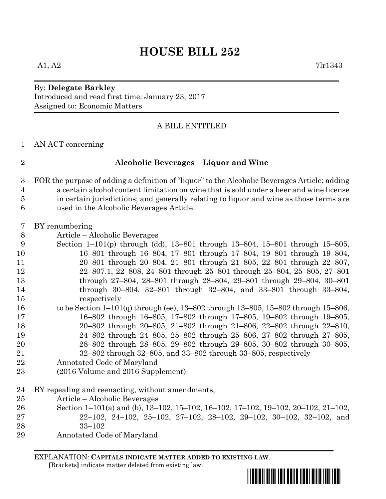# **HOUSE BILL 252**

# By: **Delegate Barkley** Introduced and read first time: January 23, 2017 Assigned to: Economic Matters

# A BILL ENTITLED

AN ACT concerning

# **Alcoholic Beverages – Liquor and Wine**

- FOR the purpose of adding a definition of "liquor" to the Alcoholic Beverages Article; adding a certain alcohol content limitation on wine that is sold under a beer and wine license in certain jurisdictions; and generally relating to liquor and wine as those terms are used in the Alcoholic Beverages Article.
- BY renumbering
- Article Alcoholic Beverages
- Section 1–101(p) through (dd), 13–801 through 13–804, 15–801 through 15–805, 16–801 through 16–804, 17–801 through 17–804, 19–801 through 19–804, 20–801 through 20–804, 21–801 through 21–805, 22–801 through 22–807, 22–807.1, 22–808, 24–801 through 25–801 through 25–804, 25–805, 27–801 through 27–804, 28–801 through 28–804, 29–801 through 29–804, 30–801 through 30–804, 32–801 through 32–804, and 33–801 through 33–804, respectively
- to be Section 1–101(q) through (ee), 13–802 through 13–805, 15–802 through 15–806, 16–802 through 16–805, 17–802 through 17–805, 19–802 through 19–805, 20–802 through 20–805, 21–802 through 21–806, 22–802 through 22–810, 24–802 through 24–805, 25–802 through 25–806, 27–802 through 27–805, 28–802 through 28–805, 29–802 through 29–805, 30–802 through 30–805,
- 32–802 through 32–805, and 33–802 through 33–805, respectively
- Annotated Code of Maryland
- (2016 Volume and 2016 Supplement)
- BY repealing and reenacting, without amendments,
- Article Alcoholic Beverages
- Section 1–101(a) and (b), 13–102, 15–102, 16–102, 17–102, 19–102, 20–102, 21–102, 22–102, 24–102, 25–102, 27–102, 28–102, 29–102, 30–102, 32–102, and
- 33–102
- Annotated Code of Maryland

EXPLANATION: **CAPITALS INDICATE MATTER ADDED TO EXISTING LAW**.

 **[**Brackets**]** indicate matter deleted from existing law.

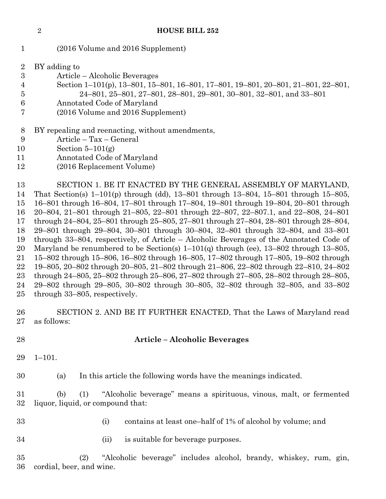(2016 Volume and 2016 Supplement)

| $\rm{2}$ | BY adding to |  |
|----------|--------------|--|
|          |              |  |

- Article Alcoholic Beverages
- Section 1–101(p), 13–801, 15–801, 16–801, 17–801, 19–801, 20–801, 21–801, 22–801,
- 24–801, 25–801, 27–801, 28–801, 29–801, 30–801, 32–801, and 33–801
- Annotated Code of Maryland
- (2016 Volume and 2016 Supplement)

# BY repealing and reenacting, without amendments,

- Article Tax General
- 10 Section  $5-101(g)$
- Annotated Code of Maryland
- (2016 Replacement Volume)

 SECTION 1. BE IT ENACTED BY THE GENERAL ASSEMBLY OF MARYLAND, That Section(s) 1–101(p) through (dd), 13–801 through 13–804, 15–801 through 15–805, 16–801 through 16–804, 17–801 through 17–804, 19–801 through 19–804, 20–801 through 20–804, 21–801 through 21–805, 22–801 through 22–807, 22–807.1, and 22–808, 24–801 through 24–804, 25–801 through 25–805, 27–801 through 27–804, 28–801 through 28–804, 29–801 through 29–804, 30–801 through 30–804, 32–801 through 32–804, and 33–801 through 33–804, respectively, of Article – Alcoholic Beverages of the Annotated Code of 20 Maryland be renumbered to be Section(s)  $1-101(q)$  through (ee),  $13-802$  through  $13-805$ , 15–802 through 15–806, 16–802 through 16–805, 17–802 through 17–805, 19–802 through 19–805, 20–802 through 20–805, 21–802 through 21–806, 22–802 through 22–810, 24–802 through 24–805, 25–802 through 25–806, 27–802 through 27–805, 28–802 through 28–805, 29–802 through 29–805, 30–802 through 30–805, 32–802 through 32–805, and 33–802 through 33–805, respectively.

 SECTION 2. AND BE IT FURTHER ENACTED, That the Laws of Maryland read as follows:

# **Article – Alcoholic Beverages**

1–101.

(a) In this article the following words have the meanings indicated.

 (b) (1) "Alcoholic beverage" means a spirituous, vinous, malt, or fermented liquor, liquid, or compound that:

- 
- (i) contains at least one–half of 1% of alcohol by volume; and
- (ii) is suitable for beverage purposes.

 (2) "Alcoholic beverage" includes alcohol, brandy, whiskey, rum, gin, cordial, beer, and wine.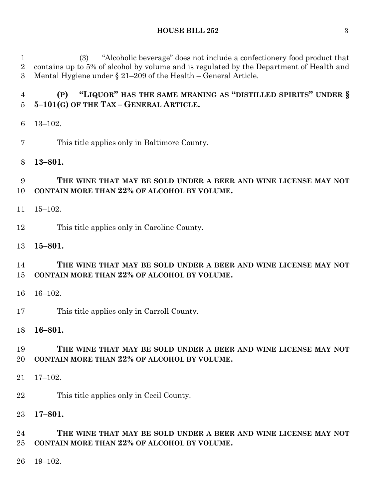### **HOUSE BILL 252** 3

 (3) "Alcoholic beverage" does not include a confectionery food product that contains up to 5% of alcohol by volume and is regulated by the Department of Health and Mental Hygiene under § 21–209 of the Health – General Article.

 **(P) "LIQUOR" HAS THE SAME MEANING AS "DISTILLED SPIRITS" UNDER § 5–101(G) OF THE TAX – GENERAL ARTICLE.**

- 13–102.
- This title applies only in Baltimore County.

# **13–801.**

# **THE WINE THAT MAY BE SOLD UNDER A BEER AND WINE LICENSE MAY NOT CONTAIN MORE THAN 22% OF ALCOHOL BY VOLUME.**

- 15–102.
- This title applies only in Caroline County.

### **15–801.**

# **THE WINE THAT MAY BE SOLD UNDER A BEER AND WINE LICENSE MAY NOT CONTAIN MORE THAN 22% OF ALCOHOL BY VOLUME.**

- 16–102.
- This title applies only in Carroll County.

### **16–801.**

# **THE WINE THAT MAY BE SOLD UNDER A BEER AND WINE LICENSE MAY NOT CONTAIN MORE THAN 22% OF ALCOHOL BY VOLUME.**

- 17–102.
- This title applies only in Cecil County.
- **17–801.**

# **THE WINE THAT MAY BE SOLD UNDER A BEER AND WINE LICENSE MAY NOT CONTAIN MORE THAN 22% OF ALCOHOL BY VOLUME.**

19–102.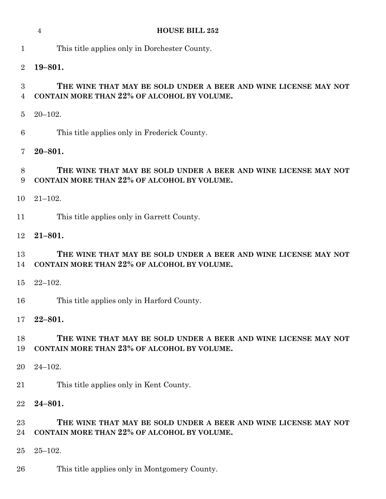|                                    | <b>HOUSE BILL 252</b><br>$\overline{4}$                                                                        |  |  |  |  |
|------------------------------------|----------------------------------------------------------------------------------------------------------------|--|--|--|--|
| $\mathbf{1}$                       | This title applies only in Dorchester County.                                                                  |  |  |  |  |
| $\overline{2}$                     | $19 - 801.$                                                                                                    |  |  |  |  |
| $\boldsymbol{3}$<br>$\overline{4}$ | THE WINE THAT MAY BE SOLD UNDER A BEER AND WINE LICENSE MAY NOT<br>CONTAIN MORE THAN 22% OF ALCOHOL BY VOLUME. |  |  |  |  |
| $\overline{5}$                     | $20 - 102.$                                                                                                    |  |  |  |  |
| 6                                  | This title applies only in Frederick County.                                                                   |  |  |  |  |
| 7                                  | $20 - 801.$                                                                                                    |  |  |  |  |
| 8<br>9                             | THE WINE THAT MAY BE SOLD UNDER A BEER AND WINE LICENSE MAY NOT<br>CONTAIN MORE THAN 22% OF ALCOHOL BY VOLUME. |  |  |  |  |
| 10                                 | $21 - 102.$                                                                                                    |  |  |  |  |
| 11                                 | This title applies only in Garrett County.                                                                     |  |  |  |  |
| 12                                 | $21 - 801.$                                                                                                    |  |  |  |  |
| 13<br>14                           | THE WINE THAT MAY BE SOLD UNDER A BEER AND WINE LICENSE MAY NOT<br>CONTAIN MORE THAN 22% OF ALCOHOL BY VOLUME. |  |  |  |  |
| 15                                 | $22 - 102.$                                                                                                    |  |  |  |  |
| 16                                 | This title applies only in Harford County.                                                                     |  |  |  |  |
| 17                                 | $22 - 801.$                                                                                                    |  |  |  |  |
| 18<br>19                           | THE WINE THAT MAY BE SOLD UNDER A BEER AND WINE LICENSE MAY NOT<br>CONTAIN MORE THAN 23% OF ALCOHOL BY VOLUME. |  |  |  |  |
| 20                                 | $24 - 102.$                                                                                                    |  |  |  |  |
| 21                                 | This title applies only in Kent County.                                                                        |  |  |  |  |
| 22                                 | $24 - 801.$                                                                                                    |  |  |  |  |
| $23\,$<br>24                       | THE WINE THAT MAY BE SOLD UNDER A BEER AND WINE LICENSE MAY NOT<br>CONTAIN MORE THAN 22% OF ALCOHOL BY VOLUME. |  |  |  |  |
| 25                                 | $25 - 102.$                                                                                                    |  |  |  |  |
| 26                                 | This title applies only in Montgomery County.                                                                  |  |  |  |  |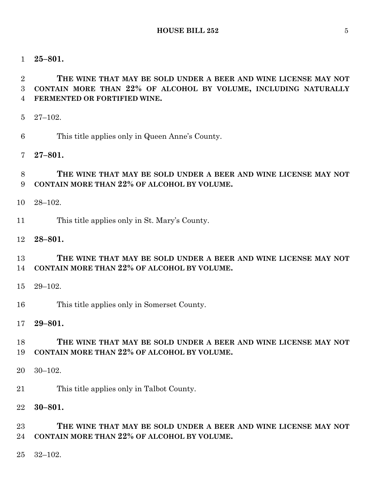**25–801.**

 **THE WINE THAT MAY BE SOLD UNDER A BEER AND WINE LICENSE MAY NOT CONTAIN MORE THAN 22% OF ALCOHOL BY VOLUME, INCLUDING NATURALLY FERMENTED OR FORTIFIED WINE.**

- 27–102.
- This title applies only in Queen Anne's County.
- **27–801.**

# **THE WINE THAT MAY BE SOLD UNDER A BEER AND WINE LICENSE MAY NOT CONTAIN MORE THAN 22% OF ALCOHOL BY VOLUME.**

- 28–102.
- This title applies only in St. Mary's County.
- **28–801.**

# **THE WINE THAT MAY BE SOLD UNDER A BEER AND WINE LICENSE MAY NOT CONTAIN MORE THAN 22% OF ALCOHOL BY VOLUME.**

- 29–102.
- This title applies only in Somerset County.
- **29–801.**

# **THE WINE THAT MAY BE SOLD UNDER A BEER AND WINE LICENSE MAY NOT CONTAIN MORE THAN 22% OF ALCOHOL BY VOLUME.**

- 30–102.
- This title applies only in Talbot County.
- **30–801.**

# **THE WINE THAT MAY BE SOLD UNDER A BEER AND WINE LICENSE MAY NOT CONTAIN MORE THAN 22% OF ALCOHOL BY VOLUME.**

32–102.